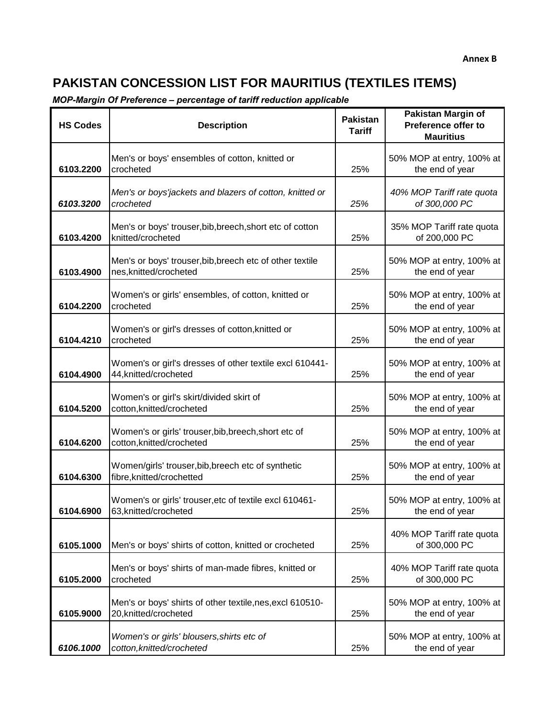| <b>HS Codes</b> | <b>Description</b>                                                                 | <b>Pakistan</b><br><b>Tariff</b> | <b>Pakistan Margin of</b><br>Preference offer to<br><b>Mauritius</b> |
|-----------------|------------------------------------------------------------------------------------|----------------------------------|----------------------------------------------------------------------|
| 6103.2200       | Men's or boys' ensembles of cotton, knitted or<br>crocheted                        | 25%                              | 50% MOP at entry, 100% at<br>the end of year                         |
| 6103.3200       | Men's or boys'jackets and blazers of cotton, knitted or<br>crocheted               | 25%                              | 40% MOP Tariff rate quota<br>of 300,000 PC                           |
| 6103.4200       | Men's or boys' trouser, bib, breech, short etc of cotton<br>knitted/crocheted      | 25%                              | 35% MOP Tariff rate quota<br>of 200,000 PC                           |
| 6103.4900       | Men's or boys' trouser, bib, breech etc of other textile<br>nes, knitted/crocheted | 25%                              | 50% MOP at entry, 100% at<br>the end of year                         |
| 6104.2200       | Women's or girls' ensembles, of cotton, knitted or<br>crocheted                    | 25%                              | 50% MOP at entry, 100% at<br>the end of year                         |
| 6104.4210       | Women's or girl's dresses of cotton, knitted or<br>crocheted                       | 25%                              | 50% MOP at entry, 100% at<br>the end of year                         |
| 6104.4900       | Women's or girl's dresses of other textile excl 610441-<br>44, knitted/crocheted   | 25%                              | 50% MOP at entry, 100% at<br>the end of year                         |
| 6104.5200       | Women's or girl's skirt/divided skirt of<br>cotton, knitted/crocheted              | 25%                              | 50% MOP at entry, 100% at<br>the end of year                         |
| 6104.6200       | Women's or girls' trouser, bib, breech, short etc of<br>cotton, knitted/crocheted  | 25%                              | 50% MOP at entry, 100% at<br>the end of year                         |
| 6104.6300       | Women/girls' trouser, bib, breech etc of synthetic<br>fibre, knitted/crochetted    | 25%                              | 50% MOP at entry, 100% at<br>the end of year                         |
| 6104.6900       | Women's or girls' trouser, etc of textile excl 610461-<br>63, knitted/crocheted    | 25%                              | 50% MOP at entry, 100% at<br>the end of year                         |
| 6105.1000       | Men's or boys' shirts of cotton, knitted or crocheted                              | 25%                              | 40% MOP Tariff rate quota<br>of 300,000 PC                           |
| 6105.2000       | Men's or boys' shirts of man-made fibres, knitted or<br>crocheted                  | 25%                              | 40% MOP Tariff rate quota<br>of 300,000 PC                           |
| 6105.9000       | Men's or boys' shirts of other textile, nes, excl 610510-<br>20, knitted/crocheted | 25%                              | 50% MOP at entry, 100% at<br>the end of year                         |
| 6106.1000       | Women's or girls' blousers, shirts etc of<br>cotton, knitted/crocheted             | 25%                              | 50% MOP at entry, 100% at<br>the end of year                         |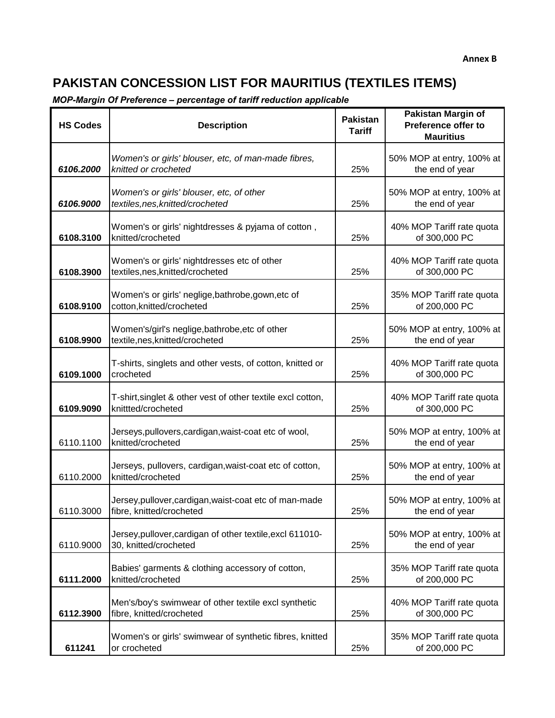| <b>HS Codes</b> | <b>Description</b>                                                                 | <b>Pakistan</b><br><b>Tariff</b> | <b>Pakistan Margin of</b><br>Preference offer to<br><b>Mauritius</b> |
|-----------------|------------------------------------------------------------------------------------|----------------------------------|----------------------------------------------------------------------|
| 6106.2000       | Women's or girls' blouser, etc, of man-made fibres,<br>knitted or crocheted        | 25%                              | 50% MOP at entry, 100% at<br>the end of year                         |
| 6106.9000       | Women's or girls' blouser, etc, of other<br>textiles, nes, knitted/crocheted       | 25%                              | 50% MOP at entry, 100% at<br>the end of year                         |
| 6108.3100       | Women's or girls' nightdresses & pyjama of cotton,<br>knitted/crocheted            | 25%                              | 40% MOP Tariff rate quota<br>of 300,000 PC                           |
| 6108.3900       | Women's or girls' nightdresses etc of other<br>textiles,nes,knitted/crocheted      | 25%                              | 40% MOP Tariff rate quota<br>of 300,000 PC                           |
| 6108.9100       | Women's or girls' neglige, bathrobe, gown, etc of<br>cotton, knitted/crocheted     | 25%                              | 35% MOP Tariff rate quota<br>of 200,000 PC                           |
| 6108.9900       | Women's/girl's neglige,bathrobe,etc of other<br>textile,nes,knitted/crocheted      | 25%                              | 50% MOP at entry, 100% at<br>the end of year                         |
| 6109.1000       | T-shirts, singlets and other vests, of cotton, knitted or<br>crocheted             | 25%                              | 40% MOP Tariff rate quota<br>of 300,000 PC                           |
| 6109.9090       | T-shirt, singlet & other vest of other textile excl cotton,<br>knittted/crocheted  | 25%                              | 40% MOP Tariff rate quota<br>of 300,000 PC                           |
| 6110.1100       | Jerseys, pullovers, cardigan, waist-coat etc of wool,<br>knitted/crocheted         | 25%                              | 50% MOP at entry, 100% at<br>the end of year                         |
| 6110.2000       | Jerseys, pullovers, cardigan, waist-coat etc of cotton,<br>knitted/crocheted       | 25%                              | 50% MOP at entry, 100% at<br>the end of year                         |
| 6110.3000       | Jersey, pullover, cardigan, waist-coat etc of man-made<br>fibre, knitted/crocheted | 25%                              | 50% MOP at entry, 100% at<br>the end of year                         |
| 6110.9000       | Jersey, pullover, cardigan of other textile, excl 611010-<br>30, knitted/crocheted | 25%                              | 50% MOP at entry, 100% at<br>the end of year                         |
| 6111.2000       | Babies' garments & clothing accessory of cotton,<br>knitted/crocheted              | 25%                              | 35% MOP Tariff rate quota<br>of 200,000 PC                           |
| 6112.3900       | Men's/boy's swimwear of other textile excl synthetic<br>fibre, knitted/crocheted   | 25%                              | 40% MOP Tariff rate quota<br>of 300,000 PC                           |
| 611241          | Women's or girls' swimwear of synthetic fibres, knitted<br>or crocheted            | 25%                              | 35% MOP Tariff rate quota<br>of 200,000 PC                           |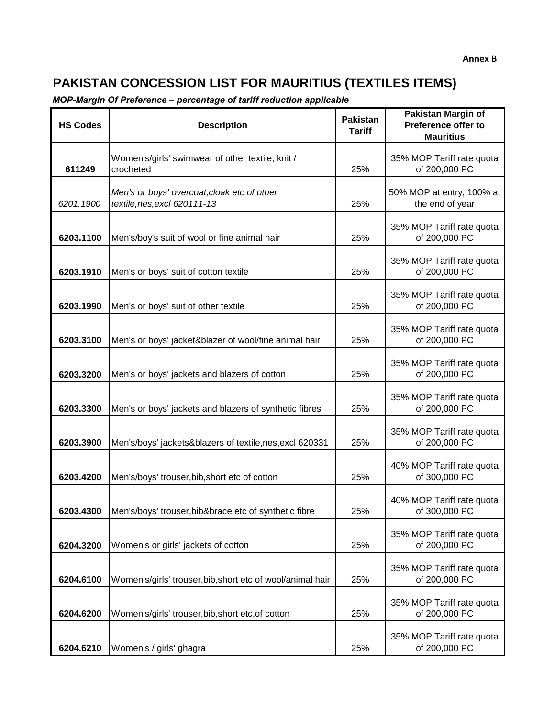| <b>HS Codes</b> | <b>Description</b>                                                          | <b>Pakistan</b><br><b>Tariff</b> | <b>Pakistan Margin of</b><br>Preference offer to<br><b>Mauritius</b> |
|-----------------|-----------------------------------------------------------------------------|----------------------------------|----------------------------------------------------------------------|
| 611249          | Women's/girls' swimwear of other textile, knit /<br>crocheted               | 25%                              | 35% MOP Tariff rate quota<br>of 200,000 PC                           |
| 6201.1900       | Men's or boys' overcoat, cloak etc of other<br>textile, nes, excl 620111-13 | 25%                              | 50% MOP at entry, 100% at<br>the end of year                         |
| 6203.1100       | Men's/boy's suit of wool or fine animal hair                                | 25%                              | 35% MOP Tariff rate quota<br>of 200,000 PC                           |
| 6203.1910       | Men's or boys' suit of cotton textile                                       | 25%                              | 35% MOP Tariff rate quota<br>of 200,000 PC                           |
| 6203.1990       | Men's or boys' suit of other textile                                        | 25%                              | 35% MOP Tariff rate quota<br>of 200,000 PC                           |
| 6203.3100       | Men's or boys' jacket&blazer of wool/fine animal hair                       | 25%                              | 35% MOP Tariff rate quota<br>of 200,000 PC                           |
| 6203.3200       | Men's or boys' jackets and blazers of cotton                                | 25%                              | 35% MOP Tariff rate quota<br>of 200,000 PC                           |
| 6203.3300       | Men's or boys' jackets and blazers of synthetic fibres                      | 25%                              | 35% MOP Tariff rate quota<br>of 200,000 PC                           |
| 6203.3900       | Men's/boys' jackets&blazers of textile, nes, excl 620331                    | 25%                              | 35% MOP Tariff rate quota<br>of 200,000 PC                           |
| 6203.4200       | Men's/boys' trouser, bib, short etc of cotton                               | 25%                              | 40% MOP Tariff rate quota<br>of 300,000 PC                           |
| 6203.4300       | Men's/boys' trouser, bib&brace etc of synthetic fibre                       | 25%                              | 40% MOP Tariff rate quota<br>of 300,000 PC                           |
| 6204.3200       | Women's or girls' jackets of cotton                                         | 25%                              | 35% MOP Tariff rate quota<br>of 200,000 PC                           |
| 6204.6100       | Women's/girls' trouser, bib, short etc of wool/animal hair                  | 25%                              | 35% MOP Tariff rate quota<br>of 200,000 PC                           |
| 6204.6200       | Women's/girls' trouser, bib, short etc, of cotton                           | 25%                              | 35% MOP Tariff rate quota<br>of 200,000 PC                           |
| 6204.6210       | Women's / girls' ghagra                                                     | 25%                              | 35% MOP Tariff rate quota<br>of 200,000 PC                           |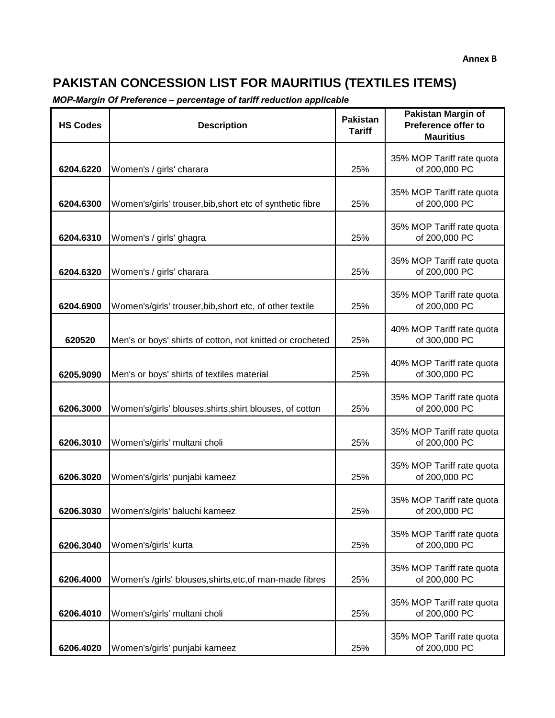| <b>HS Codes</b> | <b>Description</b>                                        | <b>Pakistan</b><br><b>Tariff</b> | <b>Pakistan Margin of</b><br>Preference offer to<br><b>Mauritius</b> |
|-----------------|-----------------------------------------------------------|----------------------------------|----------------------------------------------------------------------|
| 6204.6220       | Women's / girls' charara                                  | 25%                              | 35% MOP Tariff rate quota<br>of 200,000 PC                           |
| 6204.6300       | Women's/girls' trouser, bib, short etc of synthetic fibre | 25%                              | 35% MOP Tariff rate quota<br>of 200,000 PC                           |
| 6204.6310       | Women's / girls' ghagra                                   | 25%                              | 35% MOP Tariff rate quota<br>of 200,000 PC                           |
| 6204.6320       | Women's / girls' charara                                  | 25%                              | 35% MOP Tariff rate quota<br>of 200,000 PC                           |
| 6204.6900       | Women's/girls' trouser, bib, short etc, of other textile  | 25%                              | 35% MOP Tariff rate quota<br>of 200,000 PC                           |
| 620520          | Men's or boys' shirts of cotton, not knitted or crocheted | 25%                              | 40% MOP Tariff rate quota<br>of 300,000 PC                           |
| 6205.9090       | Men's or boys' shirts of textiles material                | 25%                              | 40% MOP Tariff rate quota<br>of 300,000 PC                           |
| 6206.3000       | Women's/girls' blouses, shirts, shirt blouses, of cotton  | 25%                              | 35% MOP Tariff rate quota<br>of 200,000 PC                           |
| 6206.3010       | Women's/girls' multani choli                              | 25%                              | 35% MOP Tariff rate quota<br>of 200,000 PC                           |
| 6206.3020       | Women's/girls' punjabi kameez                             | 25%                              | 35% MOP Tariff rate quota<br>of 200,000 PC                           |
| 6206.3030       | Women's/girls' baluchi kameez                             | 25%                              | 35% MOP Tariff rate quota<br>of 200,000 PC                           |
| 6206.3040       | Women's/girls' kurta                                      | 25%                              | 35% MOP Tariff rate quota<br>of 200,000 PC                           |
| 6206.4000       | Women's /girls' blouses, shirts, etc, of man-made fibres  | 25%                              | 35% MOP Tariff rate quota<br>of 200,000 PC                           |
| 6206.4010       | Women's/girls' multani choli                              | 25%                              | 35% MOP Tariff rate quota<br>of 200,000 PC                           |
| 6206.4020       | Women's/girls' punjabi kameez                             | 25%                              | 35% MOP Tariff rate quota<br>of 200,000 PC                           |